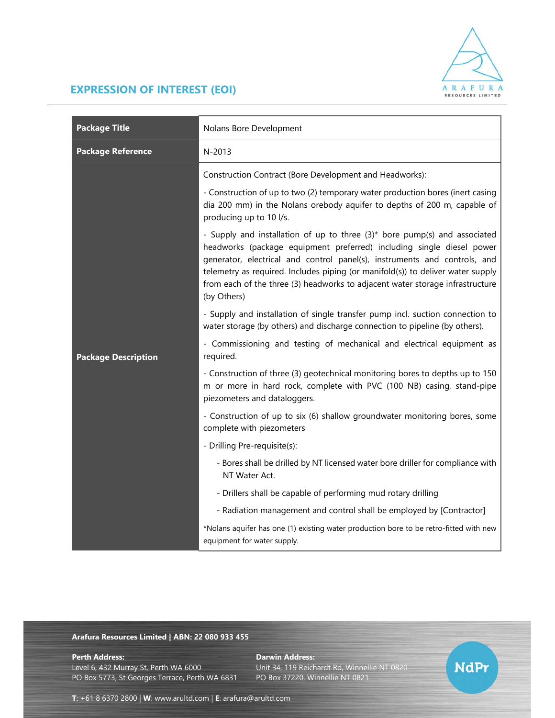

## **EXPRESSION OF INTEREST (EOI)**

| <b>Package Title</b>       | Nolans Bore Development                                                                                                                                                                                                                                                                                                                                                                                            |
|----------------------------|--------------------------------------------------------------------------------------------------------------------------------------------------------------------------------------------------------------------------------------------------------------------------------------------------------------------------------------------------------------------------------------------------------------------|
| <b>Package Reference</b>   | N-2013                                                                                                                                                                                                                                                                                                                                                                                                             |
| <b>Package Description</b> | Construction Contract (Bore Development and Headworks):                                                                                                                                                                                                                                                                                                                                                            |
|                            | - Construction of up to two (2) temporary water production bores (inert casing<br>dia 200 mm) in the Nolans orebody aquifer to depths of 200 m, capable of<br>producing up to 10 l/s.                                                                                                                                                                                                                              |
|                            | - Supply and installation of up to three (3)* bore pump(s) and associated<br>headworks (package equipment preferred) including single diesel power<br>generator, electrical and control panel(s), instruments and controls, and<br>telemetry as required. Includes piping (or manifold(s)) to deliver water supply<br>from each of the three (3) headworks to adjacent water storage infrastructure<br>(by Others) |
|                            | - Supply and installation of single transfer pump incl. suction connection to<br>water storage (by others) and discharge connection to pipeline (by others).                                                                                                                                                                                                                                                       |
|                            | - Commissioning and testing of mechanical and electrical equipment as<br>required.                                                                                                                                                                                                                                                                                                                                 |
|                            | - Construction of three (3) geotechnical monitoring bores to depths up to 150<br>m or more in hard rock, complete with PVC (100 NB) casing, stand-pipe<br>piezometers and dataloggers.                                                                                                                                                                                                                             |
|                            | - Construction of up to six (6) shallow groundwater monitoring bores, some<br>complete with piezometers                                                                                                                                                                                                                                                                                                            |
|                            | - Drilling Pre-requisite(s):                                                                                                                                                                                                                                                                                                                                                                                       |
|                            | - Bores shall be drilled by NT licensed water bore driller for compliance with<br>NT Water Act.                                                                                                                                                                                                                                                                                                                    |
|                            | - Drillers shall be capable of performing mud rotary drilling                                                                                                                                                                                                                                                                                                                                                      |
|                            | - Radiation management and control shall be employed by [Contractor]                                                                                                                                                                                                                                                                                                                                               |
|                            | *Nolans aquifer has one (1) existing water production bore to be retro-fitted with new<br>equipment for water supply.                                                                                                                                                                                                                                                                                              |

## **Arafura Resources Limited | ABN: 22 080 933 455**

Level 6, 432 Murray St, Perth WA 6000 Unit 34, 119 Reichardt Rd, Winnellie NT 0820 PO Box 5773, St Georges Terrace, Perth WA 6831 PO Box 37220, Winnellie NT 0821

**Perth Address: Darwin Address: Darwin Address:** 

**NdPr** 

**T**: +61 8 6370 2800 | **W**: www.arultd.com | **E**: arafura@arultd.com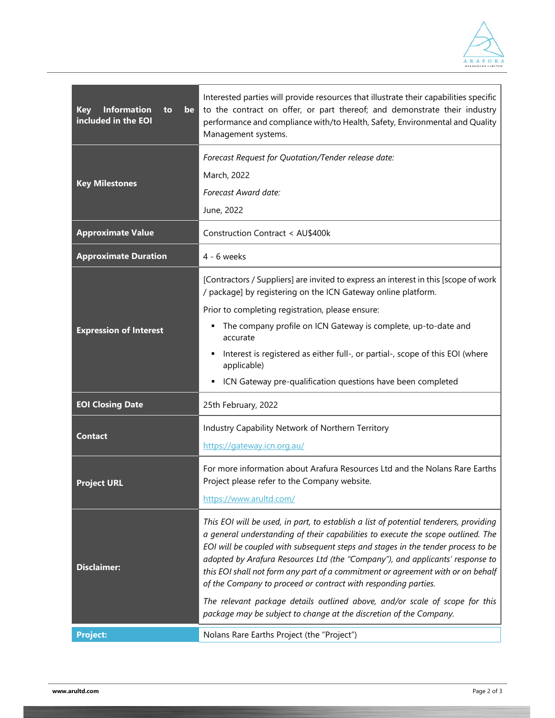

| <b>Information</b><br><b>Key</b><br>be<br>to<br>included in the EOI | Interested parties will provide resources that illustrate their capabilities specific<br>to the contract on offer, or part thereof; and demonstrate their industry<br>performance and compliance with/to Health, Safety, Environmental and Quality<br>Management systems.                                                                                                                                                                                                                                                                                                                                                                                |
|---------------------------------------------------------------------|----------------------------------------------------------------------------------------------------------------------------------------------------------------------------------------------------------------------------------------------------------------------------------------------------------------------------------------------------------------------------------------------------------------------------------------------------------------------------------------------------------------------------------------------------------------------------------------------------------------------------------------------------------|
| <b>Key Milestones</b>                                               | Forecast Request for Quotation/Tender release date:<br>March, 2022<br>Forecast Award date:<br>June, 2022                                                                                                                                                                                                                                                                                                                                                                                                                                                                                                                                                 |
| <b>Approximate Value</b>                                            | Construction Contract < AU\$400k                                                                                                                                                                                                                                                                                                                                                                                                                                                                                                                                                                                                                         |
| <b>Approximate Duration</b>                                         | $4 - 6$ weeks                                                                                                                                                                                                                                                                                                                                                                                                                                                                                                                                                                                                                                            |
| <b>Expression of Interest</b>                                       | [Contractors / Suppliers] are invited to express an interest in this [scope of work<br>/ package] by registering on the ICN Gateway online platform.<br>Prior to completing registration, please ensure:                                                                                                                                                                                                                                                                                                                                                                                                                                                 |
|                                                                     | The company profile on ICN Gateway is complete, up-to-date and<br>accurate                                                                                                                                                                                                                                                                                                                                                                                                                                                                                                                                                                               |
|                                                                     | Interest is registered as either full-, or partial-, scope of this EOI (where<br>applicable)                                                                                                                                                                                                                                                                                                                                                                                                                                                                                                                                                             |
|                                                                     | ICN Gateway pre-qualification questions have been completed                                                                                                                                                                                                                                                                                                                                                                                                                                                                                                                                                                                              |
| <b>EOI Closing Date</b>                                             | 25th February, 2022                                                                                                                                                                                                                                                                                                                                                                                                                                                                                                                                                                                                                                      |
| <b>Contact</b>                                                      | Industry Capability Network of Northern Territory<br>https://gateway.icn.org.au/                                                                                                                                                                                                                                                                                                                                                                                                                                                                                                                                                                         |
| <b>Project URL</b>                                                  | For more information about Arafura Resources Ltd and the Nolans Rare Earths<br>Project please refer to the Company website.<br>https://www.arultd.com/                                                                                                                                                                                                                                                                                                                                                                                                                                                                                                   |
| <b>Disclaimer:</b>                                                  | This EOI will be used, in part, to establish a list of potential tenderers, providing<br>a general understanding of their capabilities to execute the scope outlined. The<br>EOI will be coupled with subsequent steps and stages in the tender process to be<br>adopted by Arafura Resources Ltd (the "Company"), and applicants' response to<br>this EOI shall not form any part of a commitment or agreement with or on behalf<br>of the Company to proceed or contract with responding parties.<br>The relevant package details outlined above, and/or scale of scope for this<br>package may be subject to change at the discretion of the Company. |
| <b>Project:</b>                                                     | Nolans Rare Earths Project (the "Project")                                                                                                                                                                                                                                                                                                                                                                                                                                                                                                                                                                                                               |